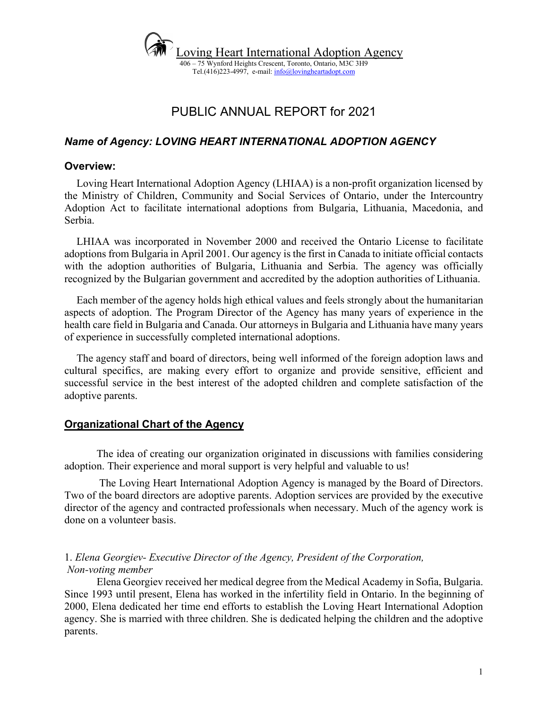

# PUBLIC ANNUAL REPORT for 2021

## *Name of Agency: LOVING HEART INTERNATIONAL ADOPTION AGENCY*

#### **Overview:**

Loving Heart International Adoption Agency (LHIAA) is a non-profit organization licensed by the Ministry of Children, Community and Social Services of Ontario, under the Intercountry Adoption Act to facilitate international adoptions from Bulgaria, Lithuania, Macedonia, and Serbia.

LHIAA was incorporated in November 2000 and received the Ontario License to facilitate adoptions from Bulgaria in April 2001. Our agency is the first in Canada to initiate official contacts with the adoption authorities of Bulgaria, Lithuania and Serbia. The agency was officially recognized by the Bulgarian government and accredited by the adoption authorities of Lithuania.

Each member of the agency holds high ethical values and feels strongly about the humanitarian aspects of adoption. The Program Director of the Agency has many years of experience in the health care field in Bulgaria and Canada. Our attorneys in Bulgaria and Lithuania have many years of experience in successfully completed international adoptions.

The agency staff and board of directors, being well informed of the foreign adoption laws and cultural specifics, are making every effort to organize and provide sensitive, efficient and successful service in the best interest of the adopted children and complete satisfaction of the adoptive parents.

### **Organizational Chart of the Agency**

The idea of creating our organization originated in discussions with families considering adoption. Their experience and moral support is very helpful and valuable to us!

The Loving Heart International Adoption Agency is managed by the Board of Directors. Two of the board directors are adoptive parents. Adoption services are provided by the executive director of the agency and contracted professionals when necessary. Much of the agency work is done on a volunteer basis.

#### 1. *Elena Georgiev- Executive Director of the Agency, President of the Corporation, Non-voting member*

Elena Georgiev received her medical degree from the Medical Academy in Sofia, Bulgaria. Since 1993 until present, Elena has worked in the infertility field in Ontario. In the beginning of 2000, Elena dedicated her time end efforts to establish the Loving Heart International Adoption agency. She is married with three children. She is dedicated helping the children and the adoptive parents.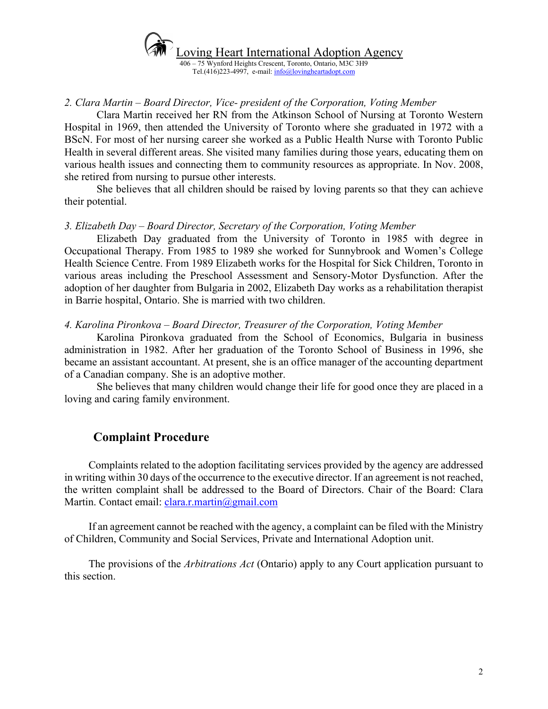

*2. Clara Martin – Board Director, Vice- president of the Corporation, Voting Member*

Clara Martin received her RN from the Atkinson School of Nursing at Toronto Western Hospital in 1969, then attended the University of Toronto where she graduated in 1972 with a BScN. For most of her nursing career she worked as a Public Health Nurse with Toronto Public Health in several different areas. She visited many families during those years, educating them on various health issues and connecting them to community resources as appropriate. In Nov. 2008, she retired from nursing to pursue other interests.

She believes that all children should be raised by loving parents so that they can achieve their potential.

#### *3. Elizabeth Day – Board Director, Secretary of the Corporation, Voting Member*

Elizabeth Day graduated from the University of Toronto in 1985 with degree in Occupational Therapy. From 1985 to 1989 she worked for Sunnybrook and Women's College Health Science Centre. From 1989 Elizabeth works for the Hospital for Sick Children, Toronto in various areas including the Preschool Assessment and Sensory-Motor Dysfunction. After the adoption of her daughter from Bulgaria in 2002, Elizabeth Day works as a rehabilitation therapist in Barrie hospital, Ontario. She is married with two children.

#### *4. Karolina Pironkova – Board Director, Treasurer of the Corporation, Voting Member*

Karolina Pironkova graduated from the School of Economics, Bulgaria in business administration in 1982. After her graduation of the Toronto School of Business in 1996, she became an assistant accountant. At present, she is an office manager of the accounting department of a Canadian company. She is an adoptive mother.

She believes that many children would change their life for good once they are placed in a loving and caring family environment.

# **Complaint Procedure**

Complaints related to the adoption facilitating services provided by the agency are addressed in writing within 30 days of the occurrence to the executive director. If an agreement is not reached, the written complaint shall be addressed to the Board of Directors. Chair of the Board: Clara Martin. Contact email: *clara.r.martin@gmail.com* 

If an agreement cannot be reached with the agency, a complaint can be filed with the Ministry of Children, Community and Social Services, Private and International Adoption unit.

The provisions of the *Arbitrations Act* (Ontario) apply to any Court application pursuant to this section.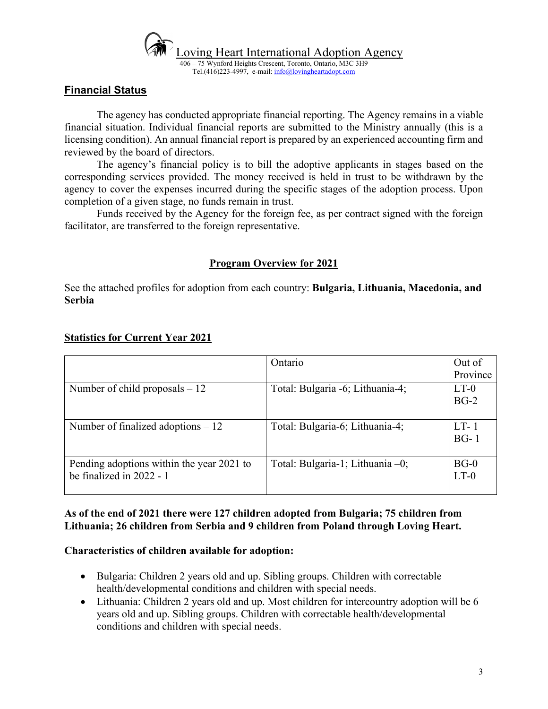

## **Financial Status**

The agency has conducted appropriate financial reporting. The Agency remains in a viable financial situation. Individual financial reports are submitted to the Ministry annually (this is a licensing condition). An annual financial report is prepared by an experienced accounting firm and reviewed by the board of directors.

The agency's financial policy is to bill the adoptive applicants in stages based on the corresponding services provided. The money received is held in trust to be withdrawn by the agency to cover the expenses incurred during the specific stages of the adoption process. Upon completion of a given stage, no funds remain in trust.

Funds received by the Agency for the foreign fee, as per contract signed with the foreign facilitator, are transferred to the foreign representative.

### **Program Overview for 2021**

See the attached profiles for adoption from each country: **Bulgaria, Lithuania, Macedonia, and Serbia**

|                                                                         | Ontario                          | Out of<br>Province |
|-------------------------------------------------------------------------|----------------------------------|--------------------|
| Number of child proposals $-12$                                         | Total: Bulgaria -6; Lithuania-4; | $LT-0$<br>$BG-2$   |
| Number of finalized adoptions $-12$                                     | Total: Bulgaria-6; Lithuania-4;  | $LT-1$<br>$BG-1$   |
| Pending adoptions within the year 2021 to<br>be finalized in $2022 - 1$ | Total: Bulgaria-1; Lithuania -0; | $BG-0$<br>$LT-0$   |

#### **Statistics for Current Year 2021**

### **As of the end of 2021 there were 127 children adopted from Bulgaria; 75 children from Lithuania; 26 children from Serbia and 9 children from Poland through Loving Heart.**

#### **Characteristics of children available for adoption:**

- Bulgaria: Children 2 years old and up. Sibling groups. Children with correctable health/developmental conditions and children with special needs.
- Lithuania: Children 2 years old and up. Most children for intercountry adoption will be 6 years old and up. Sibling groups. Children with correctable health/developmental conditions and children with special needs.